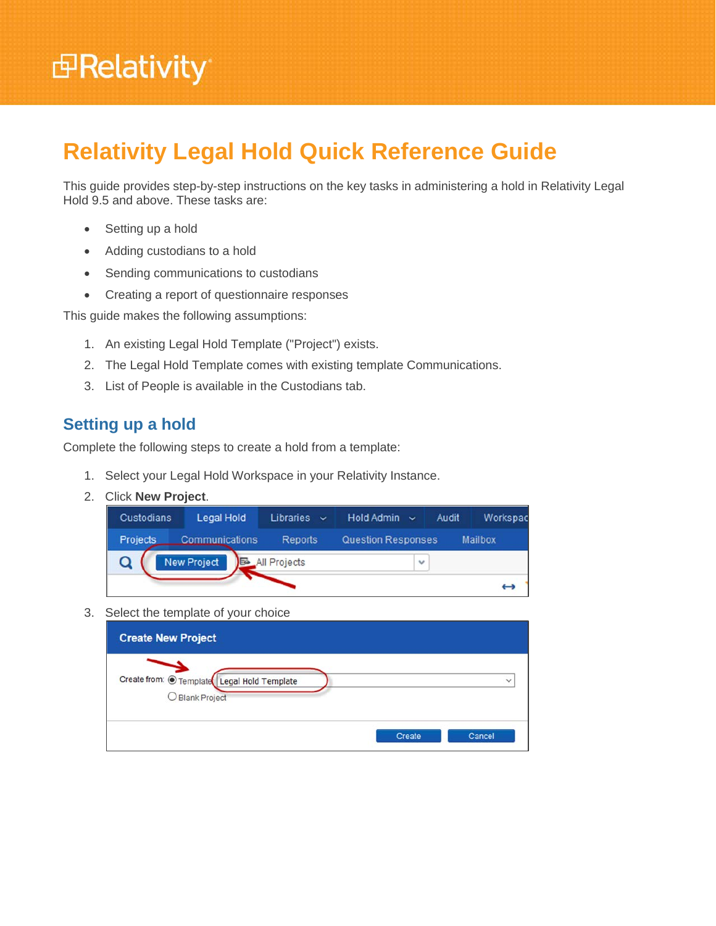# **<sub>田</sub>Relativity**

# **Relativity Legal Hold Quick Reference Guide**

This guide provides step-by-step instructions on the key tasks in administering a hold in Relativity Legal Hold 9.5 and above. These tasks are:

- Setting up a hold
- Adding custodians to a hold
- Sending communications to custodians
- Creating a report of questionnaire responses

This guide makes the following assumptions:

- 1. An existing Legal Hold Template ("Project") exists.
- 2. The Legal Hold Template comes with existing template Communications.
- 3. List of People is available in the Custodians tab.

# **Setting up a hold**

Complete the following steps to create a hold from a template:

- 1. Select your Legal Hold Workspace in your Relativity Instance.
- 2. Click **New Project**.

| Custodians      | Legal Hold         | <b>Libraries</b><br>$\ddotmark$ | Hold Admin<br>$\ddotmark$ | Audit | Workspac       |
|-----------------|--------------------|---------------------------------|---------------------------|-------|----------------|
| <b>Projects</b> | Communications     | <b>Reports</b>                  | <b>Question Responses</b> |       | <b>Mailbox</b> |
|                 | <b>New Project</b> | All Projects                    | ٧                         |       |                |
|                 |                    |                                 |                           |       |                |

3. Select the template of your choice

| <b>Create New Project</b>                                      |        |              |
|----------------------------------------------------------------|--------|--------------|
| Create from: O Template Legal Hold Template<br>O Blank Project |        | $\checkmark$ |
|                                                                | Create | Cancel       |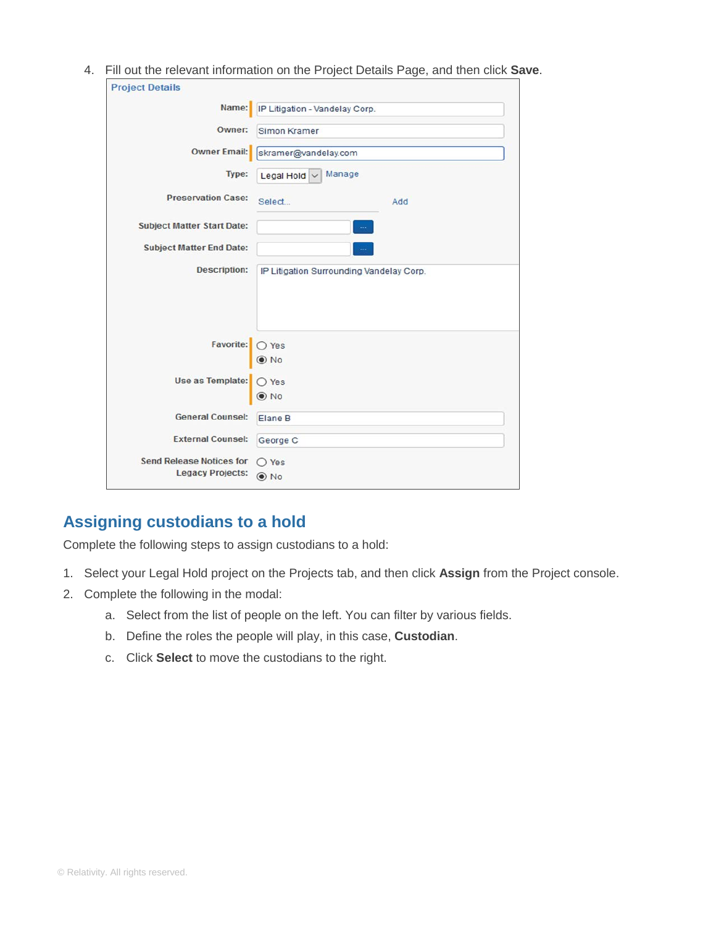4. Fill out the relevant information on the Project Details Page, and then click **Save**.

| <b>Project Details</b>            |                                          |
|-----------------------------------|------------------------------------------|
| Name:                             | IP Litigation - Vandelay Corp.           |
| Owner:                            | Simon Kramer                             |
| <b>Owner Email:</b>               | skramer@vandelay.com                     |
| Type:                             | Manage<br>Legal Hold ~                   |
| <b>Preservation Case:</b>         | Select<br>Add                            |
| <b>Subject Matter Start Date:</b> |                                          |
| <b>Subject Matter End Date:</b>   |                                          |
| <b>Description:</b>               | IP Litigation Surrounding Vandelay Corp. |
| Favorite:                         | O Yes<br>$\odot$ No                      |
| Use as Template:                  | $O$ Yes<br>$\odot$ No                    |
| <b>General Counsel:</b>           | Elane B                                  |
| <b>External Counsel:</b>          | George C                                 |
| <b>Send Release Notices for</b>   | $\bigcirc$ Yes                           |
| <b>Legacy Projects:</b>           | $\odot$ No                               |

# **Assigning custodians to a hold**

Complete the following steps to assign custodians to a hold:

- 1. Select your Legal Hold project on the Projects tab, and then click **Assign** from the Project console.
- 2. Complete the following in the modal:
	- a. Select from the list of people on the left. You can filter by various fields.
	- b. Define the roles the people will play, in this case, **Custodian**.
	- c. Click **Select** to move the custodians to the right.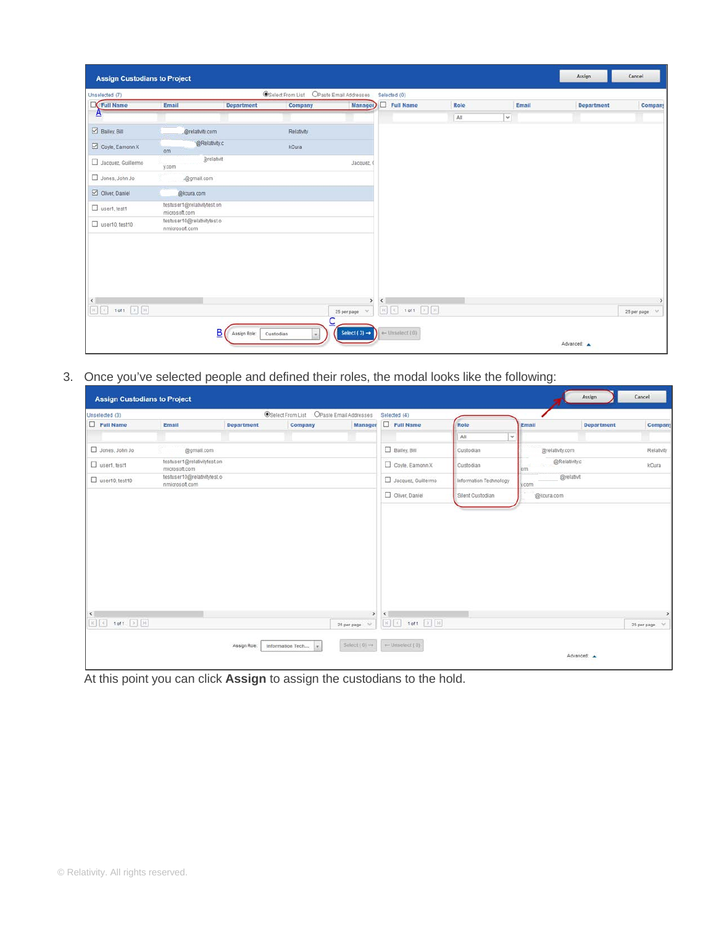| Unselected (7)        |                                               |                   | <b>OSelect From List</b> | OPaste Email Addresses | Selected (0) |                                                                                                                                                   |      |            |       |                   |                    |
|-----------------------|-----------------------------------------------|-------------------|--------------------------|------------------------|--------------|---------------------------------------------------------------------------------------------------------------------------------------------------|------|------------|-------|-------------------|--------------------|
| Full Name             | Email                                         | <b>Department</b> | Company                  | <b>Manager</b>         |              | $\Box$ Full Name                                                                                                                                  | Role |            | Email | <b>Department</b> | Company            |
| $\mathbf{A}$          |                                               |                   |                          |                        |              |                                                                                                                                                   | All  | $\backsim$ |       |                   |                    |
| Bailey, Bill          | @relativity.com                               |                   | Relativity               |                        |              |                                                                                                                                                   |      |            |       |                   |                    |
| Coyle, Eamonn X       | @Relativity.c<br>om                           |                   | kCura                    |                        |              |                                                                                                                                                   |      |            |       |                   |                    |
| Jacquez, Guillermo    | <b>Brefativit</b><br>y.com                    |                   |                          | Jacquez <sub>(</sub>   |              |                                                                                                                                                   |      |            |       |                   |                    |
| Jones, John Jo        | .@gmail.com                                   |                   |                          |                        |              |                                                                                                                                                   |      |            |       |                   |                    |
| Oliver, Daniel        | @kcura.com                                    |                   |                          |                        |              |                                                                                                                                                   |      |            |       |                   |                    |
| User1, test1          | testuser1@relativitytest.on<br>microsoft.com  |                   |                          |                        |              |                                                                                                                                                   |      |            |       |                   |                    |
| $\Box$ user10, test10 | testuser10@relativitytest.o<br>nmicrosoft.com |                   |                          |                        |              |                                                                                                                                                   |      |            |       |                   |                    |
| $\epsilon$            |                                               |                   |                          | $\rightarrow$          | $\epsilon$   |                                                                                                                                                   |      |            |       |                   | ۰,                 |
|                       |                                               |                   |                          | 25 per page $\vee$     |              | $\boxed{K} \begin{bmatrix} 1 \\ 2 \\ 3 \\ 4 \end{bmatrix} = \text{1 of } \text{1} \quad \boxed{2} \begin{bmatrix} 3 \\ 2 \\ 3 \\ 4 \end{bmatrix}$ |      |            |       |                   | XУ.<br>25 per page |

3. Once you've selected people and defined their roles, the modal looks like the following:

| Unselected (3)        |                                               |                   | <b>OSelect From List OPaste Email Addresses</b> |                          |                                             | Selected (4)       |                        |                 |                   |                              |
|-----------------------|-----------------------------------------------|-------------------|-------------------------------------------------|--------------------------|---------------------------------------------|--------------------|------------------------|-----------------|-------------------|------------------------------|
| $\Box$ Full Name      | Email                                         | <b>Department</b> | Company                                         | Manager                  |                                             | $\Box$ Full Name   | Role                   | Email           | <b>Department</b> | Company                      |
|                       |                                               |                   |                                                 |                          |                                             |                    | All                    | $\checkmark$    |                   |                              |
| Jones, John Jo        | @gmail.com<br>an an                           |                   |                                                 |                          |                                             | Bailey, Bill       | Custodian              | @relativity.com |                   | Relativity                   |
| User1, test1          | testuser1@relativitytest.on<br>microsoft.com  |                   |                                                 |                          |                                             | Coyle, Eamonn X    | Custodian              | lom             | @Relativity.c     | kCura                        |
| $\Box$ user10, test10 | testuser10@relativitytest.o<br>nmicrosoft.com |                   |                                                 |                          |                                             | Jacquez, Guillermo | Information Technology | y.com           | @relativit        |                              |
|                       |                                               |                   |                                                 |                          |                                             | Oliver, Daniel     | Silent Custodian       | @kcura.com      |                   |                              |
| $\epsilon$            |                                               |                   |                                                 | $\rightarrow$            | $\left\vert \left. \right\vert \right\vert$ |                    |                        |                 |                   | $\rightarrow$                |
|                       |                                               |                   |                                                 | w<br>25 per page         |                                             |                    |                        |                 |                   | $\mathcal{A}$<br>25 per page |
|                       |                                               | Assign Role:      | Information Tech                                | Select $(0) \rightarrow$ |                                             | + Unselect (0)     |                        |                 | Advanced: A       |                              |

At this point you can click **Assign** to assign the custodians to the hold.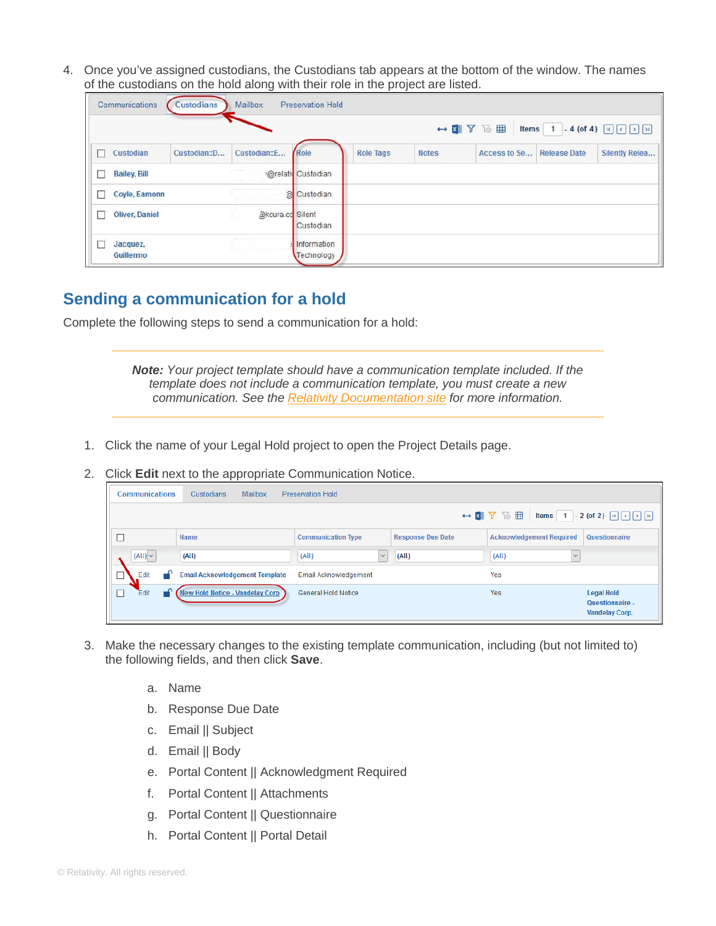4. Once you've assigned custodians, the Custodians tab appears at the bottom of the window. The names of the custodians on the hold along with their role in the project are listed.

| Communications        | <b>Custodians</b> | <b>Mailbox</b>   | <b>Preservation Hold</b>  | . .              |              | $\leftrightarrow$ KI $V$ To $\boxplus$ | Items 1             |                |
|-----------------------|-------------------|------------------|---------------------------|------------------|--------------|----------------------------------------|---------------------|----------------|
| Custodian             | Custodian::D      | Custodian::E     | Role                      | <b>Role Tags</b> | <b>Notes</b> | Access to Se                           | <b>Release Date</b> | Silently Relea |
| <b>Bailey, Bill</b>   |                   |                  | <b>@relativ</b> Custodian |                  |              |                                        |                     |                |
| Coyle, Eamonn         |                   | $\alpha$         | Custodian                 |                  |              |                                        |                     |                |
| <b>Oliver, Daniel</b> |                   | akcura.co Silent | Custodian                 |                  |              |                                        |                     |                |
| Jacquez,<br>Guillermo |                   |                  | Information<br>Technology |                  |              |                                        |                     |                |

### **Sending a communication for a hold**

Complete the following steps to send a communication for a hold:

*Note: Your project template should have a communication template included. If the template does not include a communication template, you must create a new communication. See the Relativity Documentation site for more information.* 

- 1. Click the name of your Legal Hold project to open the Project Details page.
- 2. Click **Edit** next to the appropriate Communication Notice.

| <b>Communications</b> | <b>Mailbox</b><br>Custodians           | <b>Preservation Hold</b>   |                          |                                                                                                                                                   |                                                        |
|-----------------------|----------------------------------------|----------------------------|--------------------------|---------------------------------------------------------------------------------------------------------------------------------------------------|--------------------------------------------------------|
|                       |                                        |                            |                          | $\leftrightarrow$ <b>N</b> $\overline{V}$ <b>To <math>\overline{E}</math></b>   Items 1 - 2 (of 2) $\overline{K}$ $\overline{C}$   $\overline{C}$ |                                                        |
|                       | Name                                   | <b>Communication Type</b>  | <b>Response Due Date</b> | <b>Acknowledgement Required</b>                                                                                                                   | Questionnaire                                          |
| $(AII)$ $\vee$        | (All)                                  | $\checkmark$<br>(AII)      | (AII)                    | (AII)<br>$\checkmark$                                                                                                                             |                                                        |
| Edit                  | <b>Email Acknowledgement Template</b>  | Email Acknowledgement      |                          | Yes                                                                                                                                               |                                                        |
| ⊓<br>Edit             | <b>New Hold Notice - Vandelay Corp</b> | <b>General Hold Notice</b> |                          | Yes                                                                                                                                               | <b>Legal Hold</b><br>Questionnaire -<br>Vandelay Corp. |

- 3. Make the necessary changes to the existing template communication, including (but not limited to) the following fields, and then click **Save**.
	- a. Name
	- b. Response Due Date
	- c. Email || Subject
	- d. Email || Body
	- e. Portal Content || Acknowledgment Required
	- f. Portal Content || Attachments
	- g. Portal Content || Questionnaire
	- h. Portal Content || Portal Detail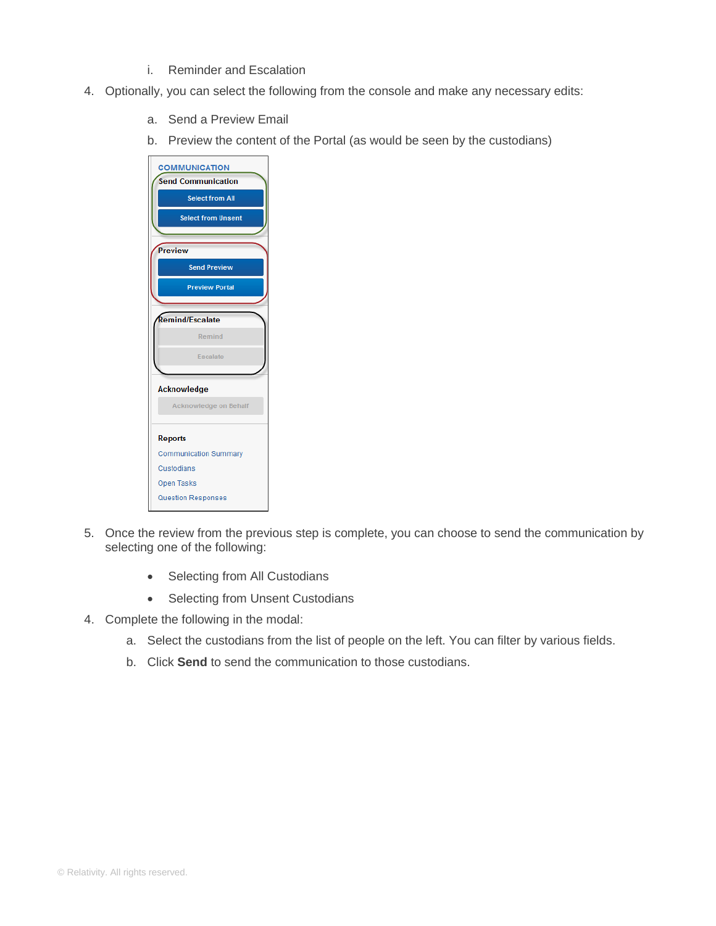- i. Reminder and Escalation
- 4. Optionally, you can select the following from the console and make any necessary edits:
	- a. Send a Preview Email
	- b. Preview the content of the Portal (as would be seen by the custodians)



- 5. Once the review from the previous step is complete, you can choose to send the communication by selecting one of the following:
	- Selecting from All Custodians
	- Selecting from Unsent Custodians
- 4. Complete the following in the modal:
	- a. Select the custodians from the list of people on the left. You can filter by various fields.
	- b. Click **Send** to send the communication to those custodians.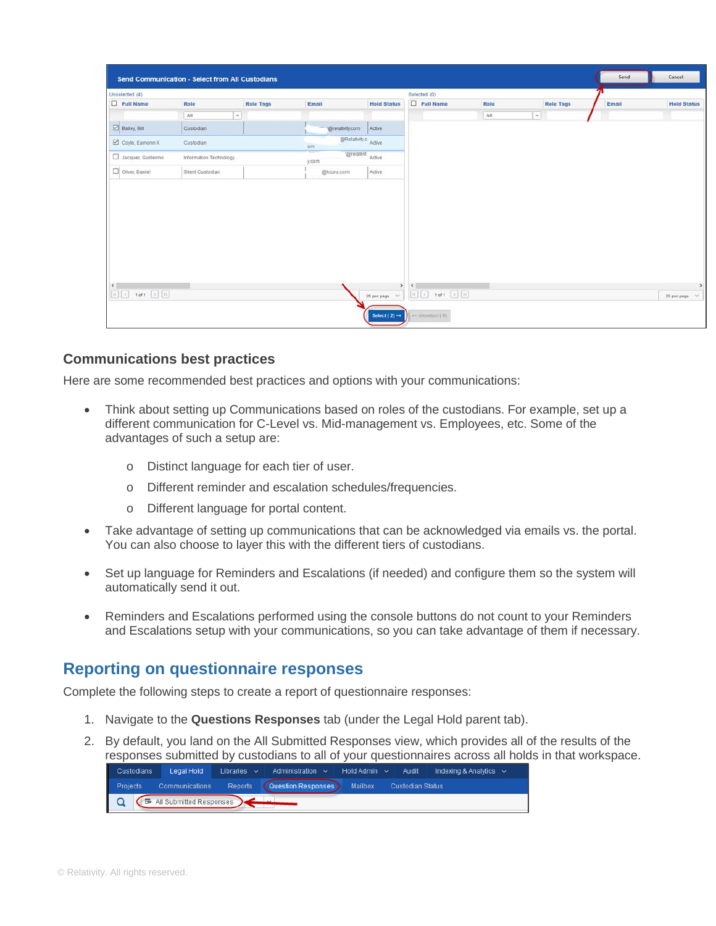| Unselected (4)     |                        |                  |                            |                    | Selected (0)     |      |        |                  |       |                    |
|--------------------|------------------------|------------------|----------------------------|--------------------|------------------|------|--------|------------------|-------|--------------------|
| $\Box$ Full Name   | Role                   | <b>Role Tags</b> | Email                      | <b>Hold Status</b> | $\Box$ Full Name | Role |        | <b>Role Tags</b> | Email | <b>Hold Status</b> |
|                    | All                    | $\check{~}$      |                            |                    |                  | All  | $\sim$ |                  |       |                    |
| Bailey, Bill       | Custodian              |                  | @relativity.com            | Active             |                  |      |        |                  |       |                    |
| Coyle, Eamonn X    | Custodian              |                  | @Relativity.c Active<br>om |                    |                  |      |        |                  |       |                    |
| Jacquez, Guillermo | Information Technology |                  | :@relativit<br>y.com       | Active             |                  |      |        |                  |       |                    |
| Oliver, Daniel     | Silent Custodian       |                  | @kcura.com                 | Active             |                  |      |        |                  |       |                    |
|                    |                        |                  |                            |                    |                  |      |        |                  |       |                    |
| $\epsilon$         |                        |                  |                            |                    | > 1              |      |        |                  |       |                    |

#### **Communications best practices**

Here are some recommended best practices and options with your communications:

- Think about setting up Communications based on roles of the custodians. For example, set up a different communication for C-Level vs. Mid-management vs. Employees, etc. Some of the advantages of such a setup are:
	- o Distinct language for each tier of user.
	- o Different reminder and escalation schedules/frequencies.
	- o Different language for portal content.
- Take advantage of setting up communications that can be acknowledged via emails vs. the portal. You can also choose to layer this with the different tiers of custodians.
- Set up language for Reminders and Escalations (if needed) and configure them so the system will automatically send it out.
- Reminders and Escalations performed using the console buttons do not count to your Reminders and Escalations setup with your communications, so you can take advantage of them if necessary.

#### **Reporting on questionnaire responses**

Complete the following steps to create a report of questionnaire responses:

- 1. Navigate to the **Questions Responses** tab (under the Legal Hold parent tab).
- 2. By default, you land on the All Submitted Responses view, which provides all of the results of the responses submitted by custodians to all of your questionnaires across all holds in that workspace.

| Custodians |                                    |                                                                               |  | Legal Hold Libraries $\sim$ Administration $\sim$ Hold Admin $\sim$ Audit Indexing & Analytics $\sim$ |  |
|------------|------------------------------------|-------------------------------------------------------------------------------|--|-------------------------------------------------------------------------------------------------------|--|
|            |                                    | Projects Communications Reports (Question Responses) Mailbox Custodian Status |  |                                                                                                       |  |
|            | Q <b>B</b> All Submitted Responses |                                                                               |  |                                                                                                       |  |